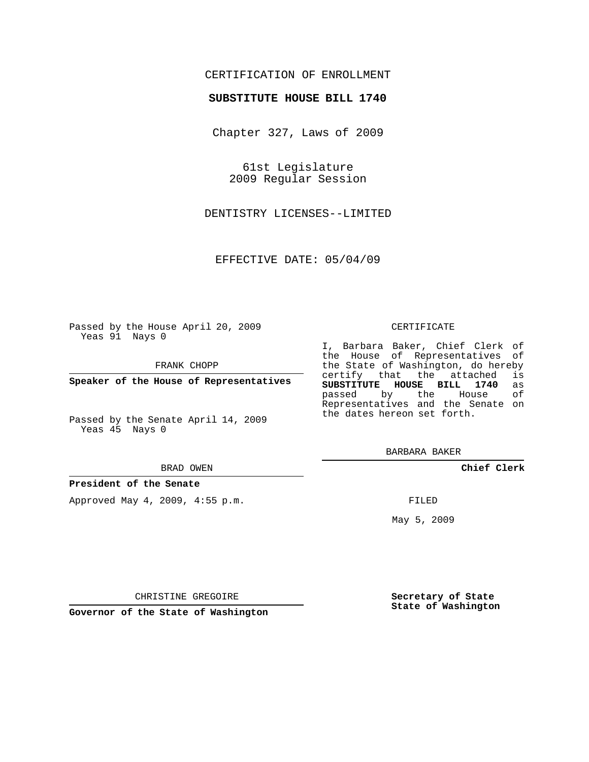## CERTIFICATION OF ENROLLMENT

### **SUBSTITUTE HOUSE BILL 1740**

Chapter 327, Laws of 2009

61st Legislature 2009 Regular Session

DENTISTRY LICENSES--LIMITED

EFFECTIVE DATE: 05/04/09

Passed by the House April 20, 2009 Yeas 91 Nays 0

FRANK CHOPP

**Speaker of the House of Representatives**

Passed by the Senate April 14, 2009 Yeas 45 Nays 0

#### BRAD OWEN

#### **President of the Senate**

Approved May 4, 2009, 4:55 p.m.

#### CERTIFICATE

I, Barbara Baker, Chief Clerk of the House of Representatives of the State of Washington, do hereby<br>certify that the attached is certify that the attached **SUBSTITUTE HOUSE BILL 1740** as passed by the Representatives and the Senate on the dates hereon set forth.

BARBARA BAKER

**Chief Clerk**

FILED

May 5, 2009

**Secretary of State State of Washington**

CHRISTINE GREGOIRE

**Governor of the State of Washington**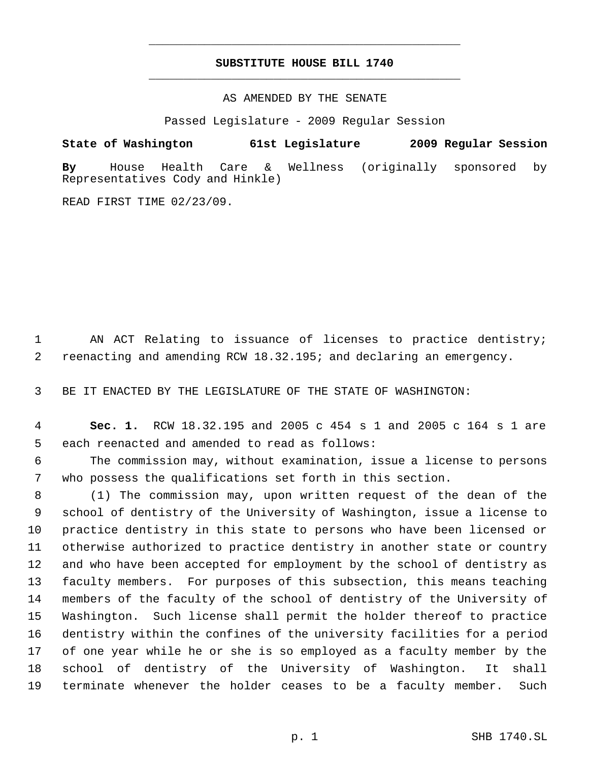# **SUBSTITUTE HOUSE BILL 1740** \_\_\_\_\_\_\_\_\_\_\_\_\_\_\_\_\_\_\_\_\_\_\_\_\_\_\_\_\_\_\_\_\_\_\_\_\_\_\_\_\_\_\_\_\_

\_\_\_\_\_\_\_\_\_\_\_\_\_\_\_\_\_\_\_\_\_\_\_\_\_\_\_\_\_\_\_\_\_\_\_\_\_\_\_\_\_\_\_\_\_

AS AMENDED BY THE SENATE

Passed Legislature - 2009 Regular Session

**State of Washington 61st Legislature 2009 Regular Session By** House Health Care & Wellness (originally sponsored by Representatives Cody and Hinkle)

READ FIRST TIME 02/23/09.

1 AN ACT Relating to issuance of licenses to practice dentistry; reenacting and amending RCW 18.32.195; and declaring an emergency.

BE IT ENACTED BY THE LEGISLATURE OF THE STATE OF WASHINGTON:

 **Sec. 1.** RCW 18.32.195 and 2005 c 454 s 1 and 2005 c 164 s 1 are each reenacted and amended to read as follows:

 The commission may, without examination, issue a license to persons who possess the qualifications set forth in this section.

 (1) The commission may, upon written request of the dean of the school of dentistry of the University of Washington, issue a license to practice dentistry in this state to persons who have been licensed or otherwise authorized to practice dentistry in another state or country and who have been accepted for employment by the school of dentistry as faculty members. For purposes of this subsection, this means teaching members of the faculty of the school of dentistry of the University of Washington. Such license shall permit the holder thereof to practice dentistry within the confines of the university facilities for a period of one year while he or she is so employed as a faculty member by the school of dentistry of the University of Washington. It shall terminate whenever the holder ceases to be a faculty member. Such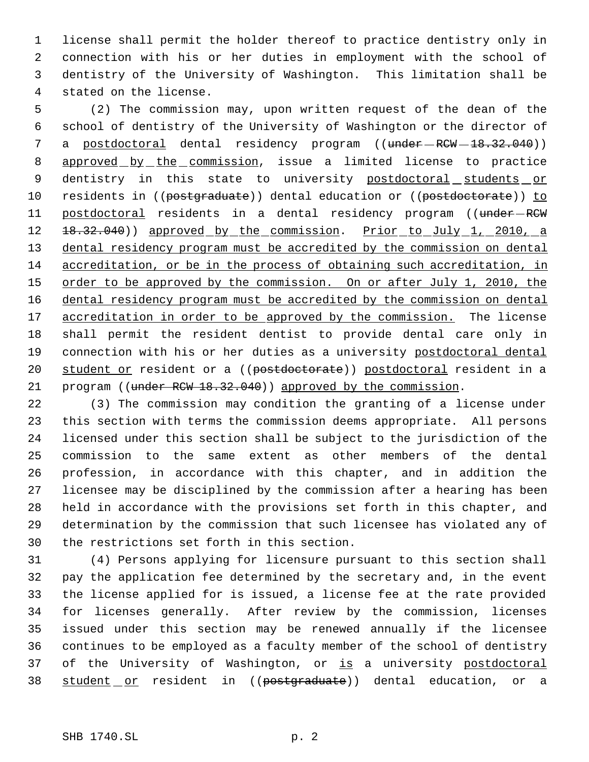license shall permit the holder thereof to practice dentistry only in connection with his or her duties in employment with the school of dentistry of the University of Washington. This limitation shall be stated on the license.

 (2) The commission may, upon written request of the dean of the school of dentistry of the University of Washington or the director of 7 a postdoctoral dental residency program ((under RCW - 18.32.040)) 8 approved by the commission, issue a limited license to practice 9 dentistry in this state to university postdoctoral students or 10 residents in ((postgraduate)) dental education or ((postdoctorate)) to 11 postdoctoral residents in a dental residency program ((under-RCW 12 18.32.040)) approved by the commission. Prior to July 1, 2010, a 13 dental residency program must be accredited by the commission on dental accreditation, or be in the process of obtaining such accreditation, in 15 order to be approved by the commission. On or after July 1, 2010, the dental residency program must be accredited by the commission on dental 17 accreditation in order to be approved by the commission. The license shall permit the resident dentist to provide dental care only in 19 connection with his or her duties as a university postdoctoral dental 20 student or resident or a ((postdoctorate)) postdoctoral resident in a 21 program ((under RCW 18.32.040)) approved by the commission.

 (3) The commission may condition the granting of a license under this section with terms the commission deems appropriate. All persons licensed under this section shall be subject to the jurisdiction of the commission to the same extent as other members of the dental profession, in accordance with this chapter, and in addition the licensee may be disciplined by the commission after a hearing has been held in accordance with the provisions set forth in this chapter, and determination by the commission that such licensee has violated any of the restrictions set forth in this section.

 (4) Persons applying for licensure pursuant to this section shall pay the application fee determined by the secretary and, in the event the license applied for is issued, a license fee at the rate provided for licenses generally. After review by the commission, licenses issued under this section may be renewed annually if the licensee continues to be employed as a faculty member of the school of dentistry 37 of the University of Washington, or is a university postdoctoral 38 student or resident in ((postgraduate)) dental education, or a